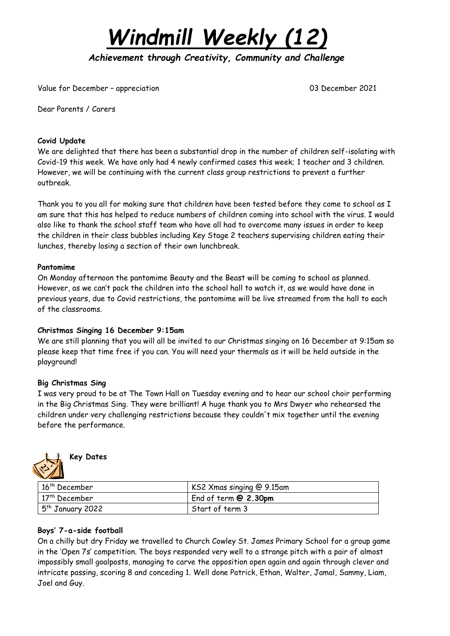

*Achievement through Creativity, Community and Challenge* 

Value for December – appreciation 03 December 2021

Dear Parents / Carers

### **Covid Update**

We are delighted that there has been a substantial drop in the number of children self-isolating with Covid-19 this week. We have only had 4 newly confirmed cases this week; 1 teacher and 3 children. However, we will be continuing with the current class group restrictions to prevent a further outbreak.

Thank you to you all for making sure that children have been tested before they come to school as I am sure that this has helped to reduce numbers of children coming into school with the virus. I would also like to thank the school staff team who have all had to overcome many issues in order to keep the children in their class bubbles including Key Stage 2 teachers supervising children eating their lunches, thereby losing a section of their own lunchbreak.

#### **Pantomime**

On Monday afternoon the pantomime Beauty and the Beast will be coming to school as planned. However, as we can't pack the children into the school hall to watch it, as we would have done in previous years, due to Covid restrictions, the pantomime will be live streamed from the hall to each of the classrooms.

### **Christmas Singing 16 December 9:15am**

We are still planning that you will all be invited to our Christmas singing on 16 December at 9:15am so please keep that time free if you can. You will need your thermals as it will be held outside in the playground!

### **Big Christmas Sing**

I was very proud to be at The Town Hall on Tuesday evening and to hear our school choir performing in the Big Christmas Sing. They were brilliant! A huge thank you to Mrs Dwyer who rehearsed the children under very challenging restrictions because they couldn't mix together until the evening before the performance.



**Key Dates**

| $16th$ December    | KS2 Xmas singing @ 9.15am |
|--------------------|---------------------------|
| $17th$ December    | End of term $@2.30$ pm    |
| $5th$ January 2022 | Start of term 3           |

### **Boys' 7-a-side football**

On a chilly but dry Friday we travelled to Church Cowley St. James Primary School for a group game in the 'Open 7s' competition. The boys responded very well to a strange pitch with a pair of almost impossibly small goalposts, managing to carve the opposition open again and again through clever and intricate passing, scoring 8 and conceding 1. Well done Patrick, Ethan, Walter, Jamal, Sammy, Liam, Joel and Guy.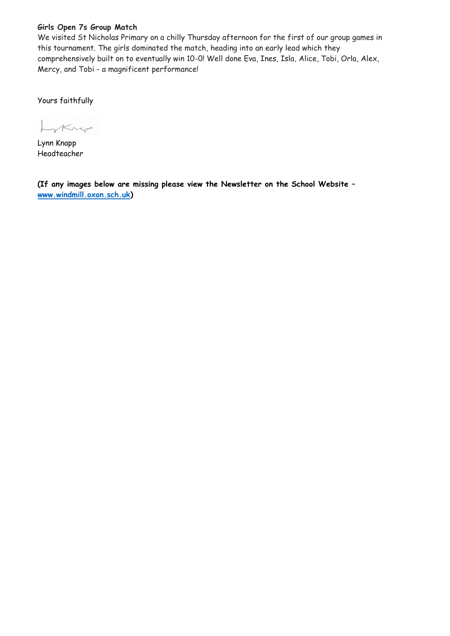### **Girls Open 7s Group Match**

We visited St Nicholas Primary on a chilly Thursday afternoon for the first of our group games in this tournament. The girls dominated the match, heading into an early lead which they comprehensively built on to eventually win 10-0! Well done Eva, Ines, Isla, Alice, Tobi, Orla, Alex, Mercy, and Tobi - a magnificent performance!

Yours faithfully

Krep

Lynn Knapp Headteacher

**(If any images below are missing please view the Newsletter on the School Website – [www.windmill.oxon.sch.uk\)](http://www.windmill.oxon.sch.uk/)**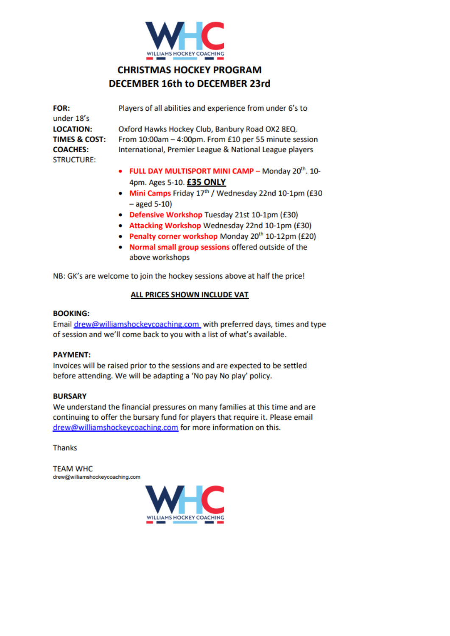

# **CHRISTMAS HOCKEY PROGRAM DECEMBER 16th to DECEMBER 23rd**

| <b>FOR:</b><br>under 18's            | Players of all abilities and experience from under 6's to       |
|--------------------------------------|-----------------------------------------------------------------|
| <b>LOCATION:</b>                     | Oxford Hawks Hockey Club, Banbury Road OX2 8EQ.                 |
| <b>TIMES &amp; COST:</b>             | From 10:00am - 4:00pm. From £10 per 55 minute session           |
| <b>COACHES:</b><br><b>STRUCTURE:</b> | International, Premier League & National League players         |
|                                      | • FULL DAY MULTISPORT MINI CAMP - Monday 20 <sup>th</sup> . 10- |

- 4pm. Ages 5-10. £35 ONLY
- Mini Camps Friday 17th / Wednesday 22nd 10-1pm (£30  $-$  aged 5-10)
- Defensive Workshop Tuesday 21st 10-1pm (£30)
- Attacking Workshop Wednesday 22nd 10-1pm (£30)
- Penalty corner workshop Monday 20<sup>th</sup> 10-12pm (£20)
- . Normal small group sessions offered outside of the above workshops

NB: GK's are welcome to join the hockey sessions above at half the price!

### ALL PRICES SHOWN INCLUDE VAT

#### **BOOKING:**

Email drew@williamshockeycoaching.com with preferred days, times and type of session and we'll come back to you with a list of what's available.

#### **PAYMENT:**

Invoices will be raised prior to the sessions and are expected to be settled before attending. We will be adapting a 'No pay No play' policy.

#### **BURSARY**

We understand the financial pressures on many families at this time and are continuing to offer the bursary fund for players that require it. Please email drew@williamshockeycoaching.com for more information on this.

**Thanks** 

**TEAM WHC** drew@williamshockeycoaching.com